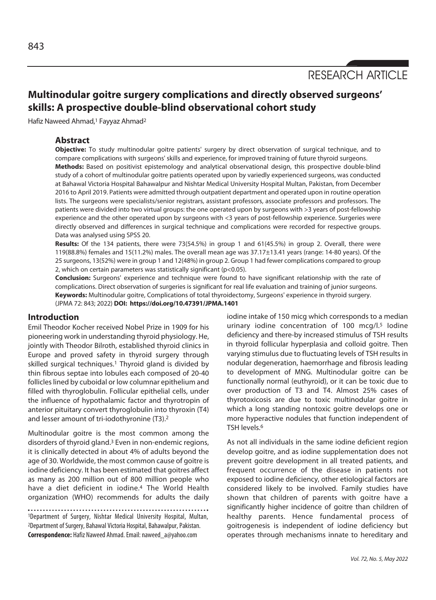# **Multinodular goitre surgery complications and directly observed surgeons' skills: A prospective double-blind observational cohort study**

Hafiz Naweed Ahmad,<sup>1</sup> Fayyaz Ahmad<sup>2</sup>

#### **Abstract**

**Objective:** To study multinodular goitre patients' surgery by direct observation of surgical technique, and to compare complications with surgeons' skills and experience, for improved training of future thyroid surgeons. **Methods:** Based on positivist epistemology and analytical observational design, this prospective double-blind study of a cohort of multinodular goitre patients operated upon by variedly experienced surgeons, was conducted at Bahawal Victoria Hospital Bahawalpur and Nishtar Medical University Hospital Multan, Pakistan, from December 2016 to April 2019. Patients were admitted through outpatient department and operated upon in routine operation lists. The surgeons were specialists/senior registrars, assistant professors, associate professors and professors. The patients were divided into two virtual groups: the one operated upon by surgeons with >3 years of post-fellowship experience and the other operated upon by surgeons with <3 years of post-fellowship experience. Surgeries were directly observed and differences in surgical technique and complications were recorded for respective groups. Data was analysed using SPSS 20.

**Results:** Of the 134 patients, there were 73(54.5%) in group 1 and 61(45.5%) in group 2. Overall, there were 119(88.8%) females and 15(11.2%) males. The overall mean age was 37.17±13.41 years (range: 14-80 years). Of the 25 surgeons, 13(52%) were in group 1 and 12(48%) in group 2. Group 1 had fewer complications compared to group 2, which on certain parameters was statistically significant (p<0.05).

**Conclusion:** Surgeons' experience and technique were found to have significant relationship with the rate of complications. Direct observation of surgeries is significant for real life evaluation and training of junior surgeons. **Keywords:** Multinodular goitre, Complications of total thyroidectomy, Surgeons' experience in thyroid surgery. (JPMA 72: 843; 2022) **DOI: https://doi.org/10.47391/JPMA.1401** 

#### **Introduction**

Emil Theodor Kocher received Nobel Prize in 1909 for his pioneering work in understanding thyroid physiology. He, jointly with Theodor Bilroth, established thyroid clinics in Europe and proved safety in thyroid surgery through skilled surgical techniques.<sup>1</sup> Thyroid gland is divided by thin fibrous septae into lobules each composed of 20-40 follicles lined by cuboidal or low columnar epithelium and filled with thyroglobulin. Follicular epithelial cells, under the influence of hypothalamic factor and thyrotropin of anterior pituitary convert thyroglobulin into thyroxin (T4) and lesser amount of tri-iodothyronine (T3).2

Multinodular goitre is the most common among the disorders of thyroid gland.3 Even in non-endemic regions, it is clinically detected in about 4% of adults beyond the age of 30. Worldwide, the most common cause of goitre is iodine deficiency. It has been estimated that goitres affect as many as 200 million out of 800 million people who have a diet deficient in iodine.<sup>4</sup> The World Health organization (WHO) recommends for adults the daily

1Department of Surgery, Nishtar Medical University Hospital, Multan, 2Department of Surgery, Bahawal Victoria Hospital, Bahawalpur, Pakistan. **Correspondence:** Hafiz Naweed Ahmad. Email: naweed\_a@yahoo.com

iodine intake of 150 micg which corresponds to a median urinary iodine concentration of 100 mcg/l.<sup>5</sup> lodine deficiency and there-by increased stimulus of TSH results in thyroid follicular hyperplasia and colloid goitre. Then varying stimulus due to fluctuating levels of TSH results in nodular degeneration, haemorrhage and fibrosis leading to development of MNG. Multinodular goitre can be functionally normal (euthyroid), or it can be toxic due to over production of T3 and T4. Almost 25% cases of thyrotoxicosis are due to toxic multinodular goitre in which a long standing nontoxic goitre develops one or more hyperactive nodules that function independent of TSH levels.6

As not all individuals in the same iodine deficient region develop goitre, and as iodine supplementation does not prevent goitre development in all treated patients, and frequent occurrence of the disease in patients not exposed to iodine deficiency, other etiological factors are considered likely to be involved. Family studies have shown that children of parents with goitre have a significantly higher incidence of goitre than children of healthy parents. Hence fundamental process of goitrogenesis is independent of iodine deficiency but operates through mechanisms innate to hereditary and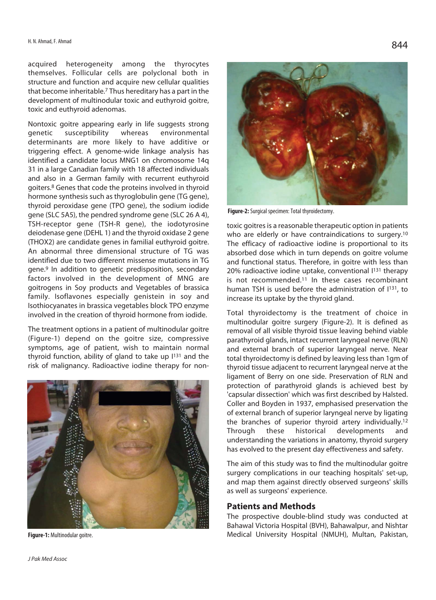acquired heterogeneity among the thyrocytes themselves. Follicular cells are polyclonal both in structure and function and acquire new cellular qualities that become inheritable.7 Thus hereditary has a part in the development of multinodular toxic and euthyroid goitre, toxic and euthyroid adenomas.

Nontoxic goitre appearing early in life suggests strong genetic susceptibility whereas environmental determinants are more likely to have additive or triggering effect. A genome-wide linkage analysis has identified a candidate locus MNG1 on chromosome 14q 31 in a large Canadian family with 18 affected individuals and also in a German family with recurrent euthyroid goiters.8 Genes that code the proteins involved in thyroid hormone synthesis such as thyroglobulin gene (TG gene), thyroid peroxidase gene (TPO gene), the sodium iodide gene (SLC 5A5), the pendred syndrome gene (SLC 26 A 4), TSH-receptor gene (TSH-R gene), the iodotyrosine deiodenase gene (DEHL 1) and the thyroid oxidase 2 gene (THOX2) are candidate genes in familial euthyroid goitre. An abnormal three dimensional structure of TG was identified due to two different missense mutations in TG gene.9 In addition to genetic predisposition, secondary factors involved in the development of MNG are goitrogens in Soy products and Vegetables of brassica family. Isoflavones especially genistein in soy and Isothiocyanates in brassica vegetables block TPO enzyme involved in the creation of thyroid hormone from iodide.

The treatment options in a patient of multinodular goitre (Figure-1) depend on the goitre size, compressive symptoms, age of patient, wish to maintain normal thyroid function, ability of gland to take up I131 and the risk of malignancy. Radioactive iodine therapy for non-



**Figure-1:** Multinodular goitre.



**Figure-2:** Surgical specimen: Total thyroidectomy.

toxic goitres is a reasonable therapeutic option in patients who are elderly or have contraindications to surgery.<sup>10</sup> The efficacy of radioactive iodine is proportional to its absorbed dose which in turn depends on goitre volume and functional status. Therefore, in goitre with less than 20% radioactive iodine uptake, conventional I131 therapy is not recommended.11 In these cases recombinant human TSH is used before the administration of  $1^{131}$ , to increase its uptake by the thyroid gland.

Total thyroidectomy is the treatment of choice in multinodular goitre surgery (Figure-2). It is defined as removal of all visible thyroid tissue leaving behind viable parathyroid glands, intact recurrent laryngeal nerve (RLN) and external branch of superior laryngeal nerve. Near total thyroidectomy is defined by leaving less than 1gm of thyroid tissue adjacent to recurrent laryngeal nerve at the ligament of Berry on one side. Preservation of RLN and protection of parathyroid glands is achieved best by 'capsular dissection' which was first described by Halsted. Coller and Boyden in 1937, emphasised preservation the of external branch of superior laryngeal nerve by ligating the branches of superior thyroid artery individually.12 Through these historical developments and understanding the variations in anatomy, thyroid surgery has evolved to the present day effectiveness and safety.

The aim of this study was to find the multinodular goitre surgery complications in our teaching hospitals' set-up, and map them against directly observed surgeons' skills as well as surgeons' experience.

#### **Patients and Methods**

The prospective double-blind study was conducted at Bahawal Victoria Hospital (BVH), Bahawalpur, and Nishtar Medical University Hospital (NMUH), Multan, Pakistan,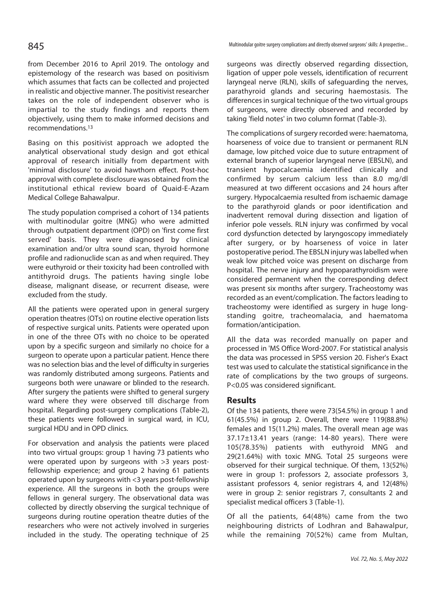from December 2016 to April 2019. The ontology and epistemology of the research was based on positivism which assumes that facts can be collected and projected in realistic and objective manner. The positivist researcher takes on the role of independent observer who is impartial to the study findings and reports them objectively, using them to make informed decisions and recommendations.13

Basing on this positivist approach we adopted the analytical observational study design and got ethical approval of research initially from department with 'minimal disclosure' to avoid hawthorn effect. Post-hoc approval with complete disclosure was obtained from the institutional ethical review board of Quaid-E-Azam Medical College Bahawalpur.

The study population comprised a cohort of 134 patients with multinodular goitre (MNG) who were admitted through outpatient department (OPD) on 'first come first served' basis. They were diagnosed by clinical examination and/or ultra sound scan, thyroid hormone profile and radionuclide scan as and when required. They were euthyroid or their toxicity had been controlled with antithyroid drugs. The patients having single lobe disease, malignant disease, or recurrent disease, were excluded from the study.

All the patients were operated upon in general surgery operation theatres (OTs) on routine elective operation lists of respective surgical units. Patients were operated upon in one of the three OTs with no choice to be operated upon by a specific surgeon and similarly no choice for a surgeon to operate upon a particular patient. Hence there was no selection bias and the level of difficulty in surgeries was randomly distributed among surgeons. Patients and surgeons both were unaware or blinded to the research. After surgery the patients were shifted to general surgery ward where they were observed till discharge from hospital. Regarding post-surgery complications (Table-2), these patients were followed in surgical ward, in ICU, surgical HDU and in OPD clinics.

For observation and analysis the patients were placed into two virtual groups: group 1 having 73 patients who were operated upon by surgeons with >3 years postfellowship experience; and group 2 having 61 patients operated upon by surgeons with <3 years post-fellowship experience. All the surgeons in both the groups were fellows in general surgery. The observational data was collected by directly observing the surgical technique of surgeons during routine operation theatre duties of the researchers who were not actively involved in surgeries included in the study. The operating technique of 25

Multinodular goitre surgery complications and directly observed surgeons' skills: A prospective...

surgeons was directly observed regarding dissection, ligation of upper pole vessels, identification of recurrent laryngeal nerve (RLN), skills of safeguarding the nerves, parathyroid glands and securing haemostasis. The differences in surgical technique of the two virtual groups of surgeons, were directly observed and recorded by taking 'field notes' in two column format (Table-3).

The complications of surgery recorded were: haematoma, hoarseness of voice due to transient or permanent RLN damage, low pitched voice due to suture entrapment of external branch of superior laryngeal nerve (EBSLN), and transient hypocalcaemia identified clinically and confirmed by serum calcium less than 8.0 mg/dl measured at two different occasions and 24 hours after surgery. Hypocalcaemia resulted from ischaemic damage to the parathyroid glands or poor identification and inadvertent removal during dissection and ligation of inferior pole vessels. RLN injury was confirmed by vocal cord dysfunction detected by laryngoscopy immediately after surgery, or by hoarseness of voice in later postoperative period. The EBSLN injury was labelled when weak low pitched voice was present on discharge from hospital. The nerve injury and hypoparathyroidism were considered permanent when the corresponding defect was present six months after surgery. Tracheostomy was recorded as an event/complication. The factors leading to tracheostomy were identified as surgery in huge longstanding goitre, tracheomalacia, and haematoma formation/anticipation.

All the data was recorded manually on paper and processed in 'MS Office Word-2007. For statistical analysis the data was processed in SPSS version 20. Fisher's Exact test was used to calculate the statistical significance in the rate of complications by the two groups of surgeons. P<0.05 was considered significant.

### **Results**

Of the 134 patients, there were 73(54.5%) in group 1 and 61(45.5%) in group 2. Overall, there were 119(88.8%) females and 15(11.2%) males. The overall mean age was 37.17±13.41 years (range: 14-80 years). There were 105(78.35%) patients with euthyroid MNG and 29(21.64%) with toxic MNG. Total 25 surgeons were observed for their surgical technique. Of them, 13(52%) were in group 1: professors 2, associate professors 3, assistant professors 4, senior registrars 4, and 12(48%) were in group 2: senior registrars 7, consultants 2 and specialist medical officers 3 (Table-1).

Of all the patients, 64(48%) came from the two neighbouring districts of Lodhran and Bahawalpur, while the remaining 70(52%) came from Multan,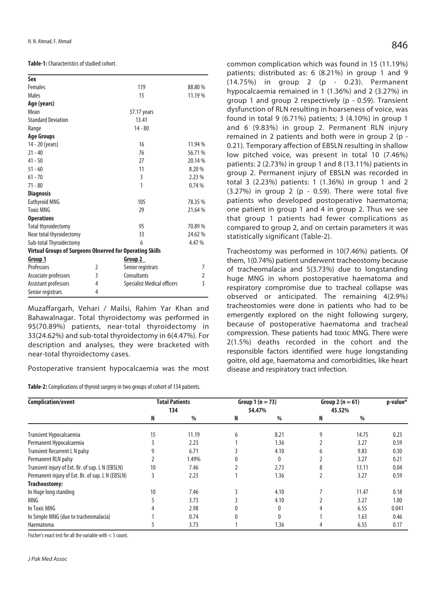#### **Table-1:** Characteristics of studied cohort.

| Sex                                                      |   |                                    |                |  |  |  |  |
|----------------------------------------------------------|---|------------------------------------|----------------|--|--|--|--|
| <b>Females</b>                                           |   | 119                                | 88.80 %        |  |  |  |  |
| Males                                                    |   | 15                                 | 11.19 %        |  |  |  |  |
| Age (years)                                              |   |                                    |                |  |  |  |  |
| Mean                                                     |   | 37.17 years                        |                |  |  |  |  |
| <b>Standard Deviation</b>                                |   | 13.41                              |                |  |  |  |  |
| Range                                                    |   | $14 - 80$                          |                |  |  |  |  |
| <b>Age Groups</b>                                        |   |                                    |                |  |  |  |  |
| 14 - 20 (years)                                          |   | 16                                 | 11.94 %        |  |  |  |  |
| $21 - 40$                                                |   | 76                                 | 56.71%         |  |  |  |  |
| $41 - 50$                                                |   | 27                                 | 20.14 %        |  |  |  |  |
| $51 - 60$                                                |   | 11                                 | 8.20%          |  |  |  |  |
| $61 - 70$                                                |   | 3                                  | 2.23%          |  |  |  |  |
| $71 - 80$                                                |   | 1                                  | 0.74%          |  |  |  |  |
| <b>Diagnosis</b>                                         |   |                                    |                |  |  |  |  |
| <b>Euthyroid MNG</b>                                     |   | 105                                | 78.35 %        |  |  |  |  |
| <b>Toxic MNG</b>                                         |   | 29                                 | 21.64%         |  |  |  |  |
| <b>Operations</b>                                        |   |                                    |                |  |  |  |  |
| <b>Total thyroidectomy</b>                               |   | 95                                 | 70.89%         |  |  |  |  |
| Near total thyroidectomy                                 |   | 33                                 | 24.62%         |  |  |  |  |
| Sub-total Thyroidectomy                                  |   | 6                                  | 4.47 %         |  |  |  |  |
| Virtual Groups of Surgeons Observed for Operating Skills |   |                                    |                |  |  |  |  |
| Group 1                                                  |   | Group 2                            |                |  |  |  |  |
| Professors                                               | 2 | Senior registrars                  | 7              |  |  |  |  |
| Associate professors                                     | 3 | Consultants                        | 2              |  |  |  |  |
| Assistant professors                                     | 4 | <b>Specialist Medical officers</b> | $\overline{3}$ |  |  |  |  |
| Senior registrars                                        | 4 |                                    |                |  |  |  |  |

Muzaffargarh, Vehari / Mailsi, Rahim Yar Khan and Bahawalnagar. Total thyroidectomy was performed in 95(70.89%) patients, near-total thyroidectomy in 33(24.62%) and sub-total thyroidectomy in 6(4.47%). For description and analyses, they were bracketed with near-total thyroidectomy cases.

Postoperative transient hypocalcaemia was the most

**Table-2:** Complications of thyroid surgery in two groups of cohort of 134 patients.

common complication which was found in 15 (11.19%) patients; distributed as: 6 (8.21%) in group 1 and 9 (14.75%) in group 2 (p - 0.23). Permanent hypocalcaemia remained in 1 (1.36%) and 2 (3.27%) in group 1 and group 2 respectively (p - 0.59). Transient dysfunction of RLN resulting in hoarseness of voice, was found in total 9 (6.71%) patients; 3 (4.10%) in group 1 and 6 (9.83%) in group 2. Permanent RLN injury remained in 2 patients and both were in group 2 (p - 0.21). Temporary affection of EBSLN resulting in shallow low pitched voice, was present in total 10 (7.46%) patients: 2 (2.73%) in group 1 and 8 (13.11%) patients in group 2. Permanent injury of EBSLN was recorded in total 3 (2.23%) patients: 1 (1.36%) in group 1 and 2

(3.27%) in group 2 (p - 0.59). There were total five patients who developed postoperative haematoma; one patient in group 1 and 4 in group 2. Thus we see that group 1 patients had fewer complications as compared to group 2, and on certain parameters it was statistically significant (Table-2).

Tracheostomy was performed in 10(7.46%) patients. Of them, 1(0.74%) patient underwent tracheostomy because of tracheomalacia and 5(3.73%) due to longstanding huge MNG in whom postoperative haematoma and respiratory compromise due to tracheal collapse was observed or anticipated. The remaining 4(2.9%) tracheostomies were done in patients who had to be emergently explored on the night following surgery, because of postoperative haematoma and tracheal compression. These patients had toxic MNG. There were 2(1.5%) deaths recorded in the cohort and the responsible factors identified were huge longstanding goitre, old age, haematoma and comorbidities, like heart disease and respiratory tract infection.

| Complication/event                               |     | <b>Total Patients</b> |        | Group $1(n = 73)$ |        | Group 2 ( $n = 61$ ) | p-value* |
|--------------------------------------------------|-----|-----------------------|--------|-------------------|--------|----------------------|----------|
|                                                  | 134 |                       | 54.47% |                   | 45.52% |                      |          |
|                                                  | N   | %                     | N      | %                 | N      | %                    |          |
| Transient Hypocalcaemia                          | 15  | 11.19                 | 6      | 8.21              | 9      | 14.75                | 0.23     |
| Permanent Hypocalcaemia                          |     | 2.23                  |        | 1.36              |        | 3.27                 | 0.59     |
| <b>Transient Recurrent L N palsy</b>             |     | 6.71                  |        | 4.10              |        | 9.83                 | 0.30     |
| Permanent RLN palsy                              |     | 1.49%                 |        | 0                 |        | 3.27                 | 0.21     |
| Transient injury of Ext. Br. of sup. L N (EBSLN) | 10  | 7.46                  |        | 2.73              | 8      | 13.11                | 0.04     |
| Permanent injury of Ext. Br. of sup. L N (EBSLN) | 3   | 2.23                  |        | 1.36              |        | 3.27                 | 0.59     |
| Tracheostomy:                                    |     |                       |        |                   |        |                      |          |
| In Huge long standing                            | 10  | 7.46                  |        | 4.10              |        | 11.47                | 0.18     |
| MNG                                              |     | 3.73                  |        | 4.10              |        | 3.27                 | 1.00     |
| In Toxic MNG                                     |     | 2.98                  |        | $\Omega$          |        | 6.55                 | 0.041    |
| In Simple MNG (due to tracheomalacia)            |     | 0.74                  | 0      | 0                 |        | 1.63                 | 0.46     |
| Haematoma                                        |     | 3.73                  |        | 1.36              |        | 6.55                 | 0.17     |

Fischer's exact test for all the variable with < 5 count.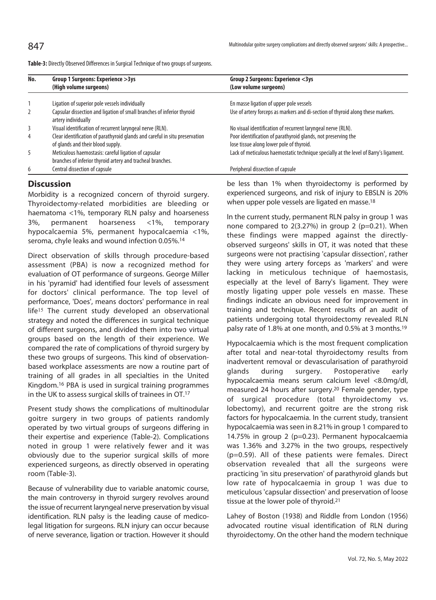| No.            | Group 1 Surgeons: Experience > 3ys<br>(High volume surgeons)                                  | Group 2 Surgeons: Experience <3ys<br>(Low volume surgeons)                           |
|----------------|-----------------------------------------------------------------------------------------------|--------------------------------------------------------------------------------------|
|                | Ligation of superior pole vessels individually                                                | En masse ligation of upper pole vessels                                              |
| $\overline{2}$ | Capsular dissection and ligation of small branches of inferior thyroid<br>artery individually | Use of artery forceps as markers and di-section of thyroid along these markers.      |
| 3              | Visual identification of recurrent laryngeal nerve (RLN).                                     | No visual identification of recurrent laryngeal nerve (RLN).                         |
| $\overline{4}$ | Clear identification of parathyroid glands and careful in situ preservation                   | Poor identification of parathyroid glands, not preserving the                        |
|                | of glands and their blood supply.                                                             | lose tissue along lower pole of thyroid.                                             |
| 5              | Meticulous haemostasis: careful ligation of capsular                                          | Lack of meticulous haemostatic technique specially at the level of Barry's ligament. |
|                | branches of inferior thyroid artery and tracheal branches.                                    |                                                                                      |
| 6              | Central dissection of capsule                                                                 | Peripheral dissection of capsule                                                     |

**Table-3:** Directly Observed Differences in Surgical Technique of two groups of surgeons.

## **Discussion**

Morbidity is a recognized concern of thyroid surgery. Thyroidectomy-related morbidities are bleeding or haematoma <1%, temporary RLN palsy and hoarseness 3%, permanent hoarseness <1%, temporary hypocalcaemia 5%, permanent hypocalcaemia <1%, seroma, chyle leaks and wound infection 0.05%.14

Direct observation of skills through procedure-based assessment (PBA) is now a recognized method for evaluation of OT performance of surgeons. George Miller in his 'pyramid' had identified four levels of assessment for doctors' clinical performance. The top level of performance, 'Does', means doctors' performance in real life<sup>15</sup> The current study developed an observational strategy and noted the differences in surgical technique of different surgeons, and divided them into two virtual groups based on the length of their experience. We compared the rate of complications of thyroid surgery by these two groups of surgeons. This kind of observationbased workplace assessments are now a routine part of training of all grades in all specialties in the United Kingdom.16 PBA is used in surgical training programmes in the UK to assess surgical skills of trainees in OT.17

Present study shows the complications of multinodular goitre surgery in two groups of patients randomly operated by two virtual groups of surgeons differing in their expertise and experience (Table-2). Complications noted in group 1 were relatively fewer and it was obviously due to the superior surgical skills of more experienced surgeons, as directly observed in operating room (Table-3).

Because of vulnerability due to variable anatomic course, the main controversy in thyroid surgery revolves around the issue of recurrent laryngeal nerve preservation by visual identification. RLN palsy is the leading cause of medicolegal litigation for surgeons. RLN injury can occur because of nerve severance, ligation or traction. However it should

be less than 1% when thyroidectomy is performed by experienced surgeons, and risk of injury to EBSLN is 20% when upper pole vessels are ligated en masse.<sup>18</sup>

In the current study, permanent RLN palsy in group 1 was none compared to 2(3.27%) in group 2 (p=0.21). When these findings were mapped against the directlyobserved surgeons' skills in OT, it was noted that these surgeons were not practising 'capsular dissection', rather they were using artery forceps as 'markers' and were lacking in meticulous technique of haemostasis, especially at the level of Barry's ligament. They were mostly ligating upper pole vessels en masse. These findings indicate an obvious need for improvement in training and technique. Recent results of an audit of patients undergoing total thyroidectomy revealed RLN palsy rate of 1.8% at one month, and 0.5% at 3 months.19

Hypocalcaemia which is the most frequent complication after total and near-total thyroidectomy results from inadvertent removal or devascularisation of parathyroid glands during surgery. Postoperative early hypocalcaemia means serum calcium level <8.0mg/dl, measured 24 hours after surgery.20 Female gender, type of surgical procedure (total thyroidectomy vs. lobectomy), and recurrent goitre are the strong risk factors for hypocalcaemia. In the current study, transient hypocalcaemia was seen in 8.21% in group 1 compared to 14.75% in group 2 (p=0.23). Permanent hypocalcaemia was 1.36% and 3.27% in the two groups, respectively (p=0.59). All of these patients were females. Direct observation revealed that all the surgeons were practicing 'in situ preservation' of parathyroid glands but low rate of hypocalcaemia in group 1 was due to meticulous 'capsular dissection' and preservation of loose tissue at the lower pole of thyroid.21

Lahey of Boston (1938) and Riddle from London (1956) advocated routine visual identification of RLN during thyroidectomy. On the other hand the modern technique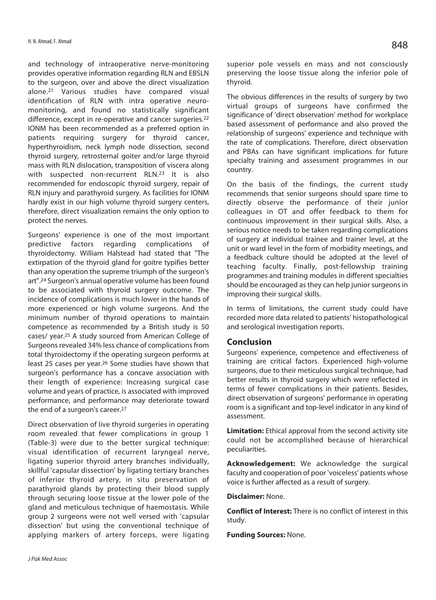and technology of intraoperative nerve-monitoring provides operative information regarding RLN and EBSLN to the surgeon, over and above the direct visualization alone.21 Various studies have compared visual identification of RLN with intra operative neuromonitoring, and found no statistically significant difference, except in re-operative and cancer surgeries.22 IONM has been recommended as a preferred option in patients requiring surgery for thyroid cancer, hyperthyroidism, neck lymph node dissection, second thyroid surgery, retrosternal goiter and/or large thyroid mass with RLN dislocation, transposition of viscera along with suspected non-recurrent RLN.23 It is also recommended for endoscopic thyroid surgery, repair of RLN injury and parathyroid surgery. As facilities for IONM hardly exist in our high volume thyroid surgery centers, therefore, direct visualization remains the only option to protect the nerves.

Surgeons' experience is one of the most important predictive factors regarding complications of thyroidectomy. William Halstead had stated that "The extirpation of the thyroid gland for goitre typifies better than any operation the supreme triumph of the surgeon's art".24 Surgeon's annual operative volume has been found to be associated with thyroid surgery outcome. The incidence of complications is much lower in the hands of more experienced or high volume surgeons. And the minimum number of thyroid operations to maintain competence as recommended by a British study is 50 cases/ year.25 A study sourced from American College of Surgeons revealed 34% less chance of complications from total thyroidectomy if the operating surgeon performs at least 25 cases per year.26 Some studies have shown that surgeon's performance has a concave association with their length of experience: Increasing surgical case volume and years of practice, is associated with improved performance, and performance may deteriorate toward the end of a surgeon's career.27

Direct observation of live thyroid surgeries in operating room revealed that fewer complications in group 1 (Table-3) were due to the better surgical technique: visual identification of recurrent laryngeal nerve, ligating superior thyroid artery branches individually, skillful 'capsular dissection' by ligating tertiary branches of inferior thyroid artery, in situ preservation of parathyroid glands by protecting their blood supply through securing loose tissue at the lower pole of the gland and meticulous technique of haemostasis. While group 2 surgeons were not well versed with 'capsular dissection' but using the conventional technique of applying markers of artery forceps, were ligating superior pole vessels en mass and not consciously preserving the loose tissue along the inferior pole of thyroid.

The obvious differences in the results of surgery by two virtual groups of surgeons have confirmed the significance of 'direct observation' method for workplace based assessment of performance and also proved the relationship of surgeons' experience and technique with the rate of complications. Therefore, direct observation and PBAs can have significant implications for future specialty training and assessment programmes in our country.

On the basis of the findings, the current study recommends that senior surgeons should spare time to directly observe the performance of their junior colleagues in OT and offer feedback to them for continuous improvement in their surgical skills. Also, a serious notice needs to be taken regarding complications of surgery at individual trainee and trainer level, at the unit or ward level in the form of morbidity meetings, and a feedback culture should be adopted at the level of teaching faculty. Finally, post-fellowship training programmes and training modules in different specialties should be encouraged as they can help junior surgeons in improving their surgical skills.

In terms of limitations, the current study could have recorded more data related to patients' histopathological and serological investigation reports.

### **Conclusion**

Surgeons' experience, competence and effectiveness of training are critical factors. Experienced high-volume surgeons, due to their meticulous surgical technique, had better results in thyroid surgery which were reflected in terms of fewer complications in their patients. Besides, direct observation of surgeons' performance in operating room is a significant and top-level indicator in any kind of assessment.

**Limitation:** Ethical approval from the second activity site could not be accomplished because of hierarchical peculiarities.

**Acknowledgement:** We acknowledge the surgical faculty and cooperation of poor 'voiceless' patients whose voice is further affected as a result of surgery.

**Disclaimer:** None.

**Conflict of Interest:** There is no conflict of interest in this study.

**Funding Sources:** None.